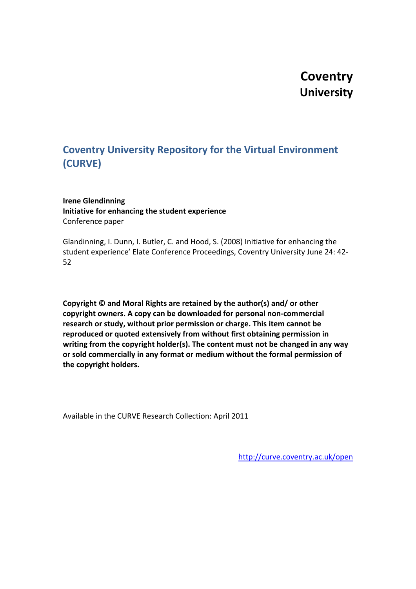# **Coventry University**

## **Coventry University Repository for the Virtual Environment (CURVE)**

#### **Irene Glendinning Initiative for enhancing the student experience** Conference paper

Glandinning, I. Dunn, I. Butler, C. and Hood, S. (2008) Initiative for enhancing the student experience' Elate Conference Proceedings, Coventry University June 24: 42- 52

**Copyright © and Moral Rights are retained by the author(s) and/ or other copyright owners. A copy can be downloaded for personal non-commercial research or study, without prior permission or charge. This item cannot be reproduced or quoted extensively from without first obtaining permission in writing from the copyright holder(s). The content must not be changed in any way or sold commercially in any format or medium without the formal permission of the copyright holders.** 

Available in the CURVE Research Collection: April 2011

<http://curve.coventry.ac.uk/open>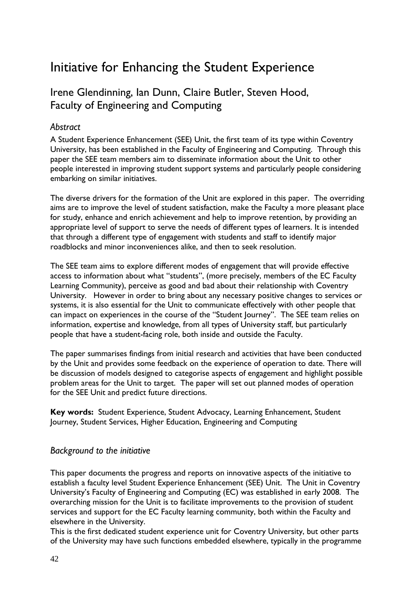# Initiative for Enhancing the Student Experience

## Irene Glendinning, Ian Dunn, Claire Butler, Steven Hood, Faculty of Engineering and Computing

## *Abstract*

A Student Experience Enhancement (SEE) Unit, the first team of its type within Coventry University, has been established in the Faculty of Engineering and Computing. Through this paper the SEE team members aim to disseminate information about the Unit to other people interested in improving student support systems and particularly people considering embarking on similar initiatives.

The diverse drivers for the formation of the Unit are explored in this paper. The overriding aims are to improve the level of student satisfaction, make the Faculty a more pleasant place for study, enhance and enrich achievement and help to improve retention, by providing an appropriate level of support to serve the needs of different types of learners. It is intended that through a different type of engagement with students and staff to identify major roadblocks and minor inconveniences alike, and then to seek resolution.

The SEE team aims to explore different modes of engagement that will provide effective access to information about what "students", (more precisely, members of the EC Faculty Learning Community), perceive as good and bad about their relationship with Coventry University. However in order to bring about any necessary positive changes to services or systems, it is also essential for the Unit to communicate effectively with other people that can impact on experiences in the course of the "Student Journey". The SEE team relies on information, expertise and knowledge, from all types of University staff, but particularly people that have a student-facing role, both inside and outside the Faculty.

The paper summarises findings from initial research and activities that have been conducted by the Unit and provides some feedback on the experience of operation to date. There will be discussion of models designed to categorise aspects of engagement and highlight possible problem areas for the Unit to target. The paper will set out planned modes of operation for the SEE Unit and predict future directions.

**Key words:** Student Experience, Student Advocacy, Learning Enhancement, Student Journey, Student Services, Higher Education, Engineering and Computing

## *Background to the initiative*

This paper documents the progress and reports on innovative aspects of the initiative to establish a faculty level Student Experience Enhancement (SEE) Unit. The Unit in Coventry University's Faculty of Engineering and Computing (EC) was established in early 2008. The overarching mission for the Unit is to facilitate improvements to the provision of student services and support for the EC Faculty learning community, both within the Faculty and elsewhere in the University.

This is the first dedicated student experience unit for Coventry University, but other parts of the University may have such functions embedded elsewhere, typically in the programme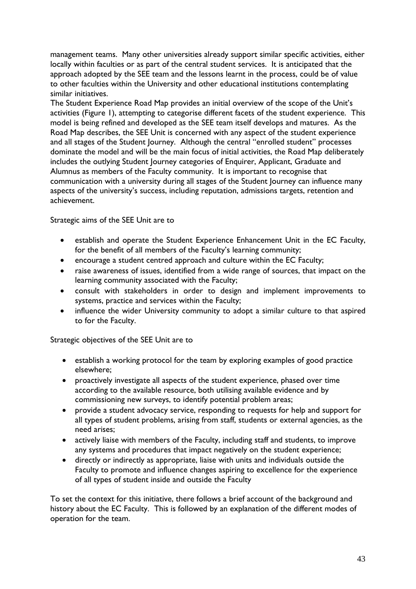management teams. Many other universities already support similar specific activities, either locally within faculties or as part of the central student services. It is anticipated that the approach adopted by the SEE team and the lessons learnt in the process, could be of value to other faculties within the University and other educational institutions contemplating similar initiatives.

The Student Experience Road Map provides an initial overview of the scope of the Unit's activities (Figure 1), attempting to categorise different facets of the student experience. This model is being refined and developed as the SEE team itself develops and matures. As the Road Map describes, the SEE Unit is concerned with any aspect of the student experience and all stages of the Student Journey. Although the central "enrolled student" processes dominate the model and will be the main focus of initial activities, the Road Map deliberately includes the outlying Student Journey categories of Enquirer, Applicant, Graduate and Alumnus as members of the Faculty community. It is important to recognise that communication with a university during all stages of the Student Journey can influence many aspects of the university's success, including reputation, admissions targets, retention and achievement.

Strategic aims of the SEE Unit are to

- establish and operate the Student Experience Enhancement Unit in the EC Faculty, for the benefit of all members of the Faculty's learning community;
- encourage a student centred approach and culture within the EC Faculty;
- raise awareness of issues, identified from a wide range of sources, that impact on the learning community associated with the Faculty;
- consult with stakeholders in order to design and implement improvements to systems, practice and services within the Faculty;
- influence the wider University community to adopt a similar culture to that aspired to for the Faculty.

Strategic objectives of the SEE Unit are to

- establish a working protocol for the team by exploring examples of good practice elsewhere;
- proactively investigate all aspects of the student experience, phased over time according to the available resource, both utilising available evidence and by commissioning new surveys, to identify potential problem areas;
- provide a student advocacy service, responding to requests for help and support for all types of student problems, arising from staff, students or external agencies, as the need arises;
- actively liaise with members of the Faculty, including staff and students, to improve any systems and procedures that impact negatively on the student experience;
- directly or indirectly as appropriate, liaise with units and individuals outside the Faculty to promote and influence changes aspiring to excellence for the experience of all types of student inside and outside the Faculty

To set the context for this initiative, there follows a brief account of the background and history about the EC Faculty. This is followed by an explanation of the different modes of operation for the team.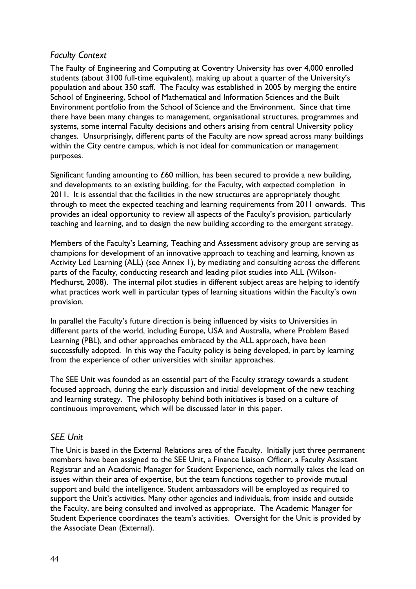## *Faculty Context*

The Faulty of Engineering and Computing at Coventry University has over 4,000 enrolled students (about 3100 full-time equivalent), making up about a quarter of the University's population and about 350 staff. The Faculty was established in 2005 by merging the entire School of Engineering, School of Mathematical and Information Sciences and the Built Environment portfolio from the School of Science and the Environment. Since that time there have been many changes to management, organisational structures, programmes and systems, some internal Faculty decisions and others arising from central University policy changes. Unsurprisingly, different parts of the Faculty are now spread across many buildings within the City centre campus, which is not ideal for communication or management purposes.

Significant funding amounting to  $£60$  million, has been secured to provide a new building, and developments to an existing building, for the Faculty, with expected completion in 2011. It is essential that the facilities in the new structures are appropriately thought through to meet the expected teaching and learning requirements from 2011 onwards. This provides an ideal opportunity to review all aspects of the Faculty's provision, particularly teaching and learning, and to design the new building according to the emergent strategy.

Members of the Faculty's Learning, Teaching and Assessment advisory group are serving as champions for development of an innovative approach to teaching and learning, known as Activity Led Learning (ALL) (see Annex 1), by mediating and consulting across the different parts of the Faculty, conducting research and leading pilot studies into ALL (Wilson-Medhurst, 2008). The internal pilot studies in different subject areas are helping to identify what practices work well in particular types of learning situations within the Faculty's own provision.

In parallel the Faculty's future direction is being influenced by visits to Universities in different parts of the world, including Europe, USA and Australia, where Problem Based Learning (PBL), and other approaches embraced by the ALL approach, have been successfully adopted. In this way the Faculty policy is being developed, in part by learning from the experience of other universities with similar approaches.

The SEE Unit was founded as an essential part of the Faculty strategy towards a student focused approach, during the early discussion and initial development of the new teaching and learning strategy. The philosophy behind both initiatives is based on a culture of continuous improvement, which will be discussed later in this paper.

## *SEE Unit*

The Unit is based in the External Relations area of the Faculty. Initially just three permanent members have been assigned to the SEE Unit, a Finance Liaison Officer, a Faculty Assistant Registrar and an Academic Manager for Student Experience, each normally takes the lead on issues within their area of expertise, but the team functions together to provide mutual support and build the intelligence. Student ambassadors will be employed as required to support the Unit's activities. Many other agencies and individuals, from inside and outside the Faculty, are being consulted and involved as appropriate. The Academic Manager for Student Experience coordinates the team's activities. Oversight for the Unit is provided by the Associate Dean (External).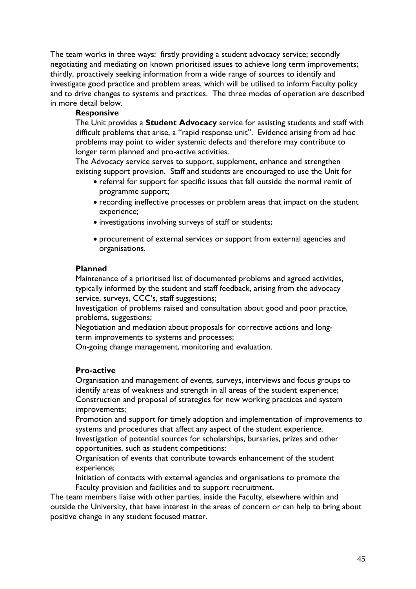The team works in three ways: firstly providing a student advocacy service; secondly negotiating and mediating on known prioritised issues to achieve long term improvements; thirdly, proactively seeking information from a wide range of sources to identify and investigate good practice and problem areas, which will be utilised to inform Faculty policy and to drive changes to systems and practices. The three modes of operation are described in more detail below.

#### **Responsive**

The Unit provides a **Student Advocacy** service for assisting students and staff with difficult problems that arise, a "rapid response unit". Evidence arising from ad hoc problems may point to wider systemic defects and therefore may contribute to longer term planned and pro-active activities.

The Advocacy service serves to support, supplement, enhance and strengthen existing support provision. Staff and students are encouraged to use the Unit for

- referral for support for specific issues that fall outside the normal remit of programme support;
- recording ineffective processes or problem areas that impact on the student experience;
- investigations involving surveys of staff or students;
- procurement of external services or support from external agencies and organisations.

#### **Planned**

Maintenance of a prioritised list of documented problems and agreed activities, typically informed by the student and staff feedback, arising from the advocacy service, surveys, CCC's, staff suggestions;

Investigation of problems raised and consultation about good and poor practice, problems, suggestions;

Negotiation and mediation about proposals for corrective actions and longterm improvements to systems and processes;

On-going change management, monitoring and evaluation.

#### **Pro-active**

Organisation and management of events, surveys, interviews and focus groups to identify areas of weakness and strength in all areas of the student experience; Construction and proposal of strategies for new working practices and system improvements;

Promotion and support for timely adoption and implementation of improvements to systems and procedures that affect any aspect of the student experience.

Investigation of potential sources for scholarships, bursaries, prizes and other opportunities, such as student competitions;

Organisation of events that contribute towards enhancement of the student experience;

Initiation of contacts with external agencies and organisations to promote the Faculty provision and facilities and to support recruitment.

The team members liaise with other parties, inside the Faculty, elsewhere within and outside the University, that have interest in the areas of concern or can help to bring about positive change in any student focused matter.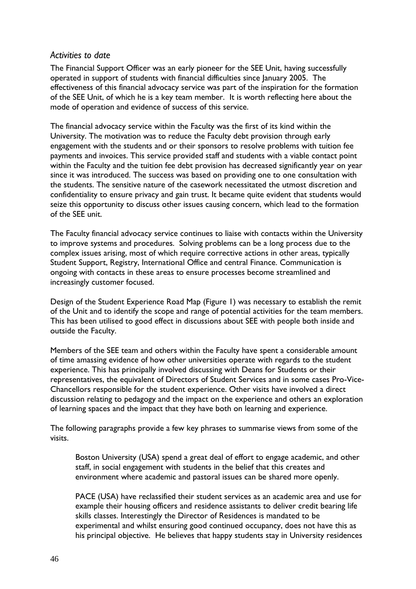### *Activities to date*

The Financial Support Officer was an early pioneer for the SEE Unit, having successfully operated in support of students with financial difficulties since January 2005. The effectiveness of this financial advocacy service was part of the inspiration for the formation of the SEE Unit, of which he is a key team member. It is worth reflecting here about the mode of operation and evidence of success of this service.

The financial advocacy service within the Faculty was the first of its kind within the University. The motivation was to reduce the Faculty debt provision through early engagement with the students and or their sponsors to resolve problems with tuition fee payments and invoices. This service provided staff and students with a viable contact point within the Faculty and the tuition fee debt provision has decreased significantly year on year since it was introduced. The success was based on providing one to one consultation with the students. The sensitive nature of the casework necessitated the utmost discretion and confidentiality to ensure privacy and gain trust. It became quite evident that students would seize this opportunity to discuss other issues causing concern, which lead to the formation of the SEE unit.

The Faculty financial advocacy service continues to liaise with contacts within the University to improve systems and procedures. Solving problems can be a long process due to the complex issues arising, most of which require corrective actions in other areas, typically Student Support, Registry, International Office and central Finance. Communication is ongoing with contacts in these areas to ensure processes become streamlined and increasingly customer focused.

Design of the Student Experience Road Map (Figure 1) was necessary to establish the remit of the Unit and to identify the scope and range of potential activities for the team members. This has been utilised to good effect in discussions about SEE with people both inside and outside the Faculty.

Members of the SEE team and others within the Faculty have spent a considerable amount of time amassing evidence of how other universities operate with regards to the student experience. This has principally involved discussing with Deans for Students or their representatives, the equivalent of Directors of Student Services and in some cases Pro-Vice-Chancellors responsible for the student experience. Other visits have involved a direct discussion relating to pedagogy and the impact on the experience and others an exploration of learning spaces and the impact that they have both on learning and experience.

The following paragraphs provide a few key phrases to summarise views from some of the visits.

Boston University (USA) spend a great deal of effort to engage academic, and other staff, in social engagement with students in the belief that this creates and environment where academic and pastoral issues can be shared more openly.

PACE (USA) have reclassified their student services as an academic area and use for example their housing officers and residence assistants to deliver credit bearing life skills classes. Interestingly the Director of Residences is mandated to be experimental and whilst ensuring good continued occupancy, does not have this as his principal objective. He believes that happy students stay in University residences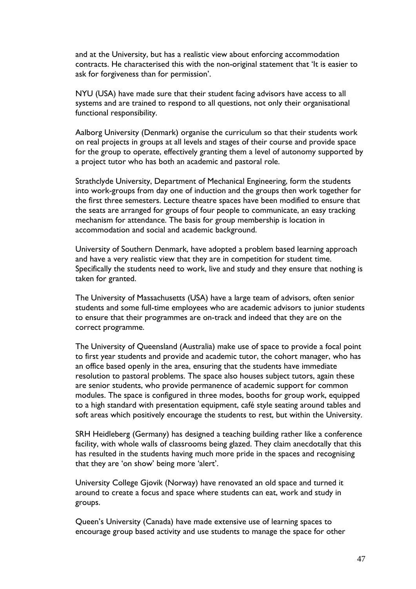and at the University, but has a realistic view about enforcing accommodation contracts. He characterised this with the non-original statement that 'It is easier to ask for forgiveness than for permission'.

NYU (USA) have made sure that their student facing advisors have access to all systems and are trained to respond to all questions, not only their organisational functional responsibility.

Aalborg University (Denmark) organise the curriculum so that their students work on real projects in groups at all levels and stages of their course and provide space for the group to operate, effectively granting them a level of autonomy supported by a project tutor who has both an academic and pastoral role.

Strathclyde University, Department of Mechanical Engineering, form the students into work-groups from day one of induction and the groups then work together for the first three semesters. Lecture theatre spaces have been modified to ensure that the seats are arranged for groups of four people to communicate, an easy tracking mechanism for attendance. The basis for group membership is location in accommodation and social and academic background.

University of Southern Denmark, have adopted a problem based learning approach and have a very realistic view that they are in competition for student time. Specifically the students need to work, live and study and they ensure that nothing is taken for granted.

The University of Massachusetts (USA) have a large team of advisors, often senior students and some full-time employees who are academic advisors to junior students to ensure that their programmes are on-track and indeed that they are on the correct programme.

The University of Queensland (Australia) make use of space to provide a focal point to first year students and provide and academic tutor, the cohort manager, who has an office based openly in the area, ensuring that the students have immediate resolution to pastoral problems. The space also houses subject tutors, again these are senior students, who provide permanence of academic support for common modules. The space is configured in three modes, booths for group work, equipped to a high standard with presentation equipment, café style seating around tables and soft areas which positively encourage the students to rest, but within the University.

SRH Heidleberg (Germany) has designed a teaching building rather like a conference facility, with whole walls of classrooms being glazed. They claim anecdotally that this has resulted in the students having much more pride in the spaces and recognising that they are 'on show' being more 'alert'.

University College Gjovik (Norway) have renovated an old space and turned it around to create a focus and space where students can eat, work and study in groups.

Queen's University (Canada) have made extensive use of learning spaces to encourage group based activity and use students to manage the space for other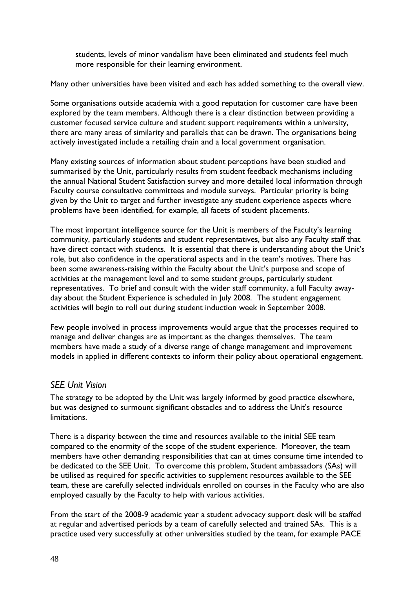students, levels of minor vandalism have been eliminated and students feel much more responsible for their learning environment.

Many other universities have been visited and each has added something to the overall view.

Some organisations outside academia with a good reputation for customer care have been explored by the team members. Although there is a clear distinction between providing a customer focused service culture and student support requirements within a university, there are many areas of similarity and parallels that can be drawn. The organisations being actively investigated include a retailing chain and a local government organisation.

Many existing sources of information about student perceptions have been studied and summarised by the Unit, particularly results from student feedback mechanisms including the annual National Student Satisfaction survey and more detailed local information through Faculty course consultative committees and module surveys. Particular priority is being given by the Unit to target and further investigate any student experience aspects where problems have been identified, for example, all facets of student placements.

The most important intelligence source for the Unit is members of the Faculty's learning community, particularly students and student representatives, but also any Faculty staff that have direct contact with students. It is essential that there is understanding about the Unit's role, but also confidence in the operational aspects and in the team's motives. There has been some awareness-raising within the Faculty about the Unit's purpose and scope of activities at the management level and to some student groups, particularly student representatives. To brief and consult with the wider staff community, a full Faculty awayday about the Student Experience is scheduled in July 2008. The student engagement activities will begin to roll out during student induction week in September 2008.

Few people involved in process improvements would argue that the processes required to manage and deliver changes are as important as the changes themselves. The team members have made a study of a diverse range of change management and improvement models in applied in different contexts to inform their policy about operational engagement.

## *SEE Unit Vision*

The strategy to be adopted by the Unit was largely informed by good practice elsewhere, but was designed to surmount significant obstacles and to address the Unit's resource limitations.

There is a disparity between the time and resources available to the initial SEE team compared to the enormity of the scope of the student experience. Moreover, the team members have other demanding responsibilities that can at times consume time intended to be dedicated to the SEE Unit. To overcome this problem, Student ambassadors (SAs) will be utilised as required for specific activities to supplement resources available to the SEE team, these are carefully selected individuals enrolled on courses in the Faculty who are also employed casually by the Faculty to help with various activities.

From the start of the 2008-9 academic year a student advocacy support desk will be staffed at regular and advertised periods by a team of carefully selected and trained SAs. This is a practice used very successfully at other universities studied by the team, for example PACE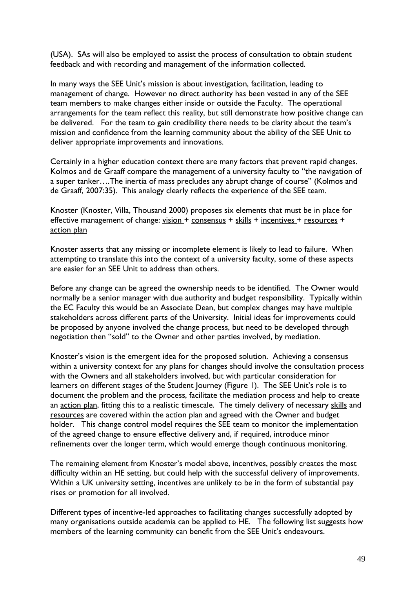(USA). SAs will also be employed to assist the process of consultation to obtain student feedback and with recording and management of the information collected.

In many ways the SEE Unit's mission is about investigation, facilitation, leading to management of change. However no direct authority has been vested in any of the SEE team members to make changes either inside or outside the Faculty. The operational arrangements for the team reflect this reality, but still demonstrate how positive change can be delivered. For the team to gain credibility there needs to be clarity about the team's mission and confidence from the learning community about the ability of the SEE Unit to deliver appropriate improvements and innovations.

Certainly in a higher education context there are many factors that prevent rapid changes. Kolmos and de Graaff compare the management of a university faculty to "the navigation of a super tanker….The inertia of mass precludes any abrupt change of course" (Kolmos and de Graaff, 2007:35). This analogy clearly reflects the experience of the SEE team.

Knoster (Knoster, Villa, Thousand 2000) proposes six elements that must be in place for effective management of change: vision + consensus + skills + incentives + resources + action plan

Knoster asserts that any missing or incomplete element is likely to lead to failure. When attempting to translate this into the context of a university faculty, some of these aspects are easier for an SEE Unit to address than others.

Before any change can be agreed the ownership needs to be identified. The Owner would normally be a senior manager with due authority and budget responsibility. Typically within the EC Faculty this would be an Associate Dean, but complex changes may have multiple stakeholders across different parts of the University. Initial ideas for improvements could be proposed by anyone involved the change process, but need to be developed through negotiation then "sold" to the Owner and other parties involved, by mediation.

Knoster's vision is the emergent idea for the proposed solution. Achieving a consensus within a university context for any plans for changes should involve the consultation process with the Owners and all stakeholders involved, but with particular consideration for learners on different stages of the Student Journey (Figure 1). The SEE Unit's role is to document the problem and the process, facilitate the mediation process and help to create an action plan, fitting this to a realistic timescale. The timely delivery of necessary skills and resources are covered within the action plan and agreed with the Owner and budget holder. This change control model requires the SEE team to monitor the implementation of the agreed change to ensure effective delivery and, if required, introduce minor refinements over the longer term, which would emerge though continuous monitoring.

The remaining element from Knoster's model above, incentives, possibly creates the most difficulty within an HE setting, but could help with the successful delivery of improvements. Within a UK university setting, incentives are unlikely to be in the form of substantial pay rises or promotion for all involved.

Different types of incentive-led approaches to facilitating changes successfully adopted by many organisations outside academia can be applied to HE. The following list suggests how members of the learning community can benefit from the SEE Unit's endeavours.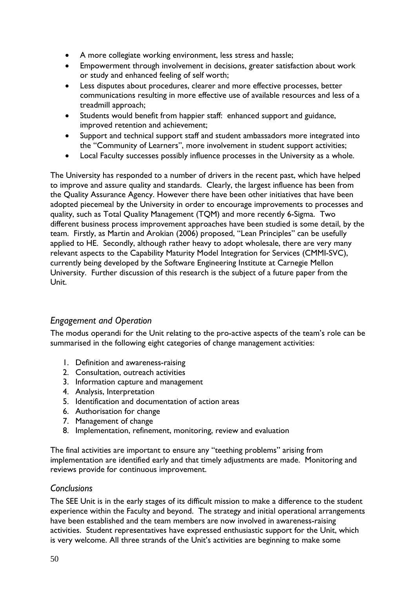- A more collegiate working environment, less stress and hassle;
- Empowerment through involvement in decisions, greater satisfaction about work or study and enhanced feeling of self worth;
- Less disputes about procedures, clearer and more effective processes, better communications resulting in more effective use of available resources and less of a treadmill approach;
- Students would benefit from happier staff: enhanced support and guidance, improved retention and achievement;
- Support and technical support staff and student ambassadors more integrated into the "Community of Learners", more involvement in student support activities;
- Local Faculty successes possibly influence processes in the University as a whole.

The University has responded to a number of drivers in the recent past, which have helped to improve and assure quality and standards. Clearly, the largest influence has been from the Quality Assurance Agency. However there have been other initiatives that have been adopted piecemeal by the University in order to encourage improvements to processes and quality, such as Total Quality Management (TQM) and more recently 6-Sigma. Two different business process improvement approaches have been studied is some detail, by the team. Firstly, as Martin and Arokian (2006) proposed, "Lean Principles" can be usefully applied to HE. Secondly, although rather heavy to adopt wholesale, there are very many relevant aspects to the Capability Maturity Model Integration for Services (CMMI-SVC), currently being developed by the Software Engineering Institute at Carnegie Mellon University. Further discussion of this research is the subject of a future paper from the Unit.

## *Engagement and Operation*

The modus operandi for the Unit relating to the pro-active aspects of the team's role can be summarised in the following eight categories of change management activities:

- 1. Definition and awareness-raising
- 2. Consultation, outreach activities
- 3. Information capture and management
- 4. Analysis, Interpretation
- 5. Identification and documentation of action areas
- 6. Authorisation for change
- 7. Management of change
- 8. Implementation, refinement, monitoring, review and evaluation

The final activities are important to ensure any "teething problems" arising from implementation are identified early and that timely adjustments are made. Monitoring and reviews provide for continuous improvement.

## *Conclusions*

The SEE Unit is in the early stages of its difficult mission to make a difference to the student experience within the Faculty and beyond. The strategy and initial operational arrangements have been established and the team members are now involved in awareness-raising activities. Student representatives have expressed enthusiastic support for the Unit, which is very welcome. All three strands of the Unit's activities are beginning to make some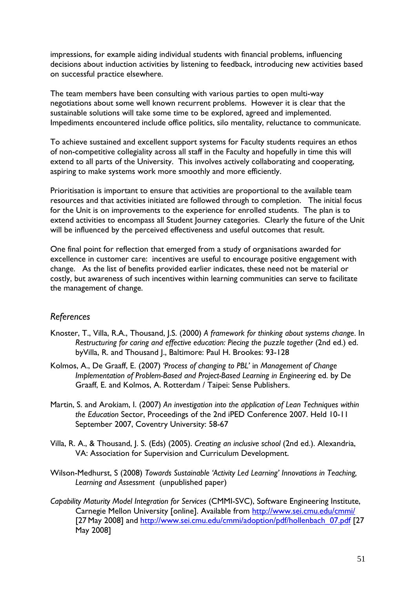impressions, for example aiding individual students with financial problems, influencing decisions about induction activities by listening to feedback, introducing new activities based on successful practice elsewhere.

The team members have been consulting with various parties to open multi-way negotiations about some well known recurrent problems. However it is clear that the sustainable solutions will take some time to be explored, agreed and implemented. Impediments encountered include office politics, silo mentality, reluctance to communicate.

To achieve sustained and excellent support systems for Faculty students requires an ethos of non-competitive collegiality across all staff in the Faculty and hopefully in time this will extend to all parts of the University. This involves actively collaborating and cooperating, aspiring to make systems work more smoothly and more efficiently.

Prioritisation is important to ensure that activities are proportional to the available team resources and that activities initiated are followed through to completion. The initial focus for the Unit is on improvements to the experience for enrolled students. The plan is to extend activities to encompass all Student Journey categories. Clearly the future of the Unit will be influenced by the perceived effectiveness and useful outcomes that result.

One final point for reflection that emerged from a study of organisations awarded for excellence in customer care: incentives are useful to encourage positive engagement with change. As the list of benefits provided earlier indicates, these need not be material or costly, but awareness of such incentives within learning communities can serve to facilitate the management of change.

## *References*

- Knoster, T., Villa, R.A., Thousand, J.S. (2000) *A framework for thinking about systems change*. In *Restructuring for caring and effective education: Piecing the puzzle together* (2nd ed.) ed. byVilla, R. and Thousand J., Baltimore: Paul H. Brookes: 93-128
- Kolmos, A., De Graaff, E. (2007) *'Process of changing to PBL'* in *Management of Change Implementation of Problem-Based and Project-Based Learning in Engineering* ed. by De Graaff, E. and Kolmos, A. Rotterdam / Taipei: Sense Publishers.
- Martin, S. and Arokiam, I. (2007) *An investigation into the application of Lean Techniques within the Education* Sector, Proceedings of the 2nd iPED Conference 2007. Held 10-11 September 2007, Coventry University: 58-67
- Villa, R. A., & Thousand, J. S. (Eds) (2005). *Creating an inclusive school* (2nd ed.). Alexandria, VA: Association for Supervision and Curriculum Development.
- Wilson-Medhurst, S (2008) *Towards Sustainable 'Activity Led Learning' Innovations in Teaching, Learning and Assessment* (unpublished paper)
- *Capability Maturity Model Integration for Services* (CMMI-SVC), Software Engineering Institute, Carnegie Mellon University [online]. Available from <http://www.sei.cmu.edu/cmmi/> [27 May 2008] and [http://www.sei.cmu.edu/cmmi/adoption/pdf/hollenbach\\_07.pdf](http://www.sei.cmu.edu/cmmi/adoption/pdf/hollenbach_07.pdf) [27 May 2008]